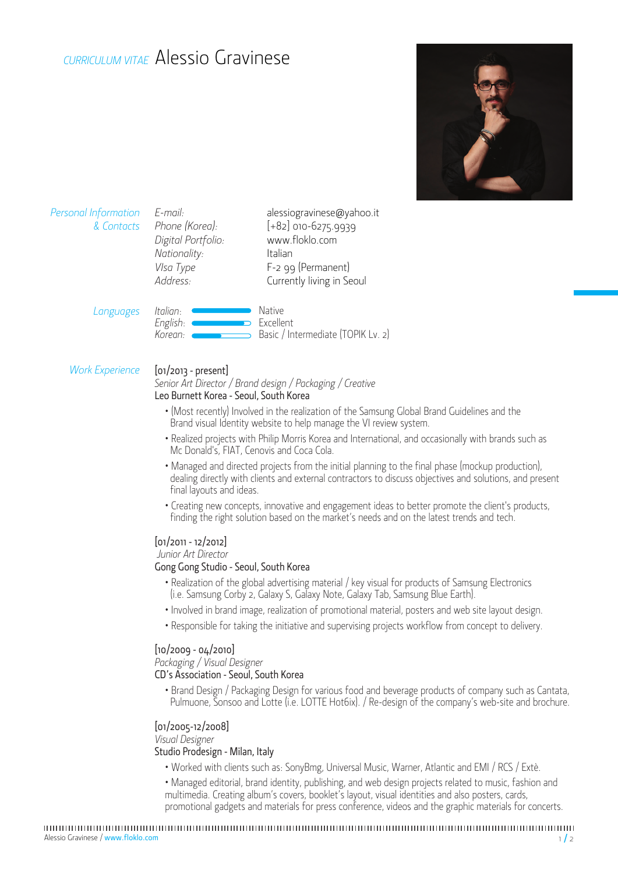# *CURRICULUM VITAE* Alessio Gravinese



| <b>Personal Information</b><br>& Contacts | E-mail:<br>Phone (Korea):<br>Digital Portfolio:<br>Nationality:<br>VIsa Type<br>Address: | alessiogravinese@yahoo.it<br>$[+82]$ 010-6275.9939<br>www.floklo.com<br>Italian<br>F-2 99 (Permanent)<br>Currently living in Seoul |
|-------------------------------------------|------------------------------------------------------------------------------------------|------------------------------------------------------------------------------------------------------------------------------------|
| Languages                                 | Italian:<br>English:<br>Korean:                                                          | Native<br>Excellent<br>Basic / Intermediate (TOPIK Lv. 2)                                                                          |

### *Work Experience* [01/2013 - present]

## *Senior Art Director / Brand design / Packaging / Creative*

### Leo Burnett Korea - Seoul, South Korea

- (Most recently) Involved in the realization of the Samsung Global Brand Guidelines and the Brand visual Identity website to help manage the VI review system.
- Realized projects with Philip Morris Korea and International, and occasionally with brands such as Mc Donald's, FIAT, Cenovis and Coca Cola.
- Managed and directed projects from the initial planning to the final phase (mockup production), dealing directly with clients and external contractors to discuss objectives and solutions, and present final layouts and ideas.
- Creating new concepts, innovative and engagement ideas to better promote the client's products, finding the right solution based on the market's needs and on the latest trends and tech.

#### [01/2011 - 12/2012]

#### *Junior Art Director*

#### Gong Gong Studio - Seoul, South Korea

- Realization of the global advertising material / key visual for products of Samsung Electronics (i.e. Samsung Corby 2, Galaxy S, Galaxy Note, Galaxy Tab, Samsung Blue Earth).
- Involved in brand image, realization of promotional material, posters and web site layout design.
- Responsible for taking the initiative and supervising projects workflow from concept to delivery.

#### $[10/2009 - 04/2010]$

*Packaging / Visual Designer*

#### CD's Association - Seoul, South Korea

• Brand Design / Packaging Design for various food and beverage products of company such as Cantata, Pulmuone, Sonsoo and Lotte (i.e. LOTTE Hot6ix). / Re-design of the company's web-site and brochure.

### [01/2005-12/2008]

*Visual Designer*

#### Studio Prodesign - Milan, Italy

• Worked with clients such as: SonyBmg, Universal Music, Warner, Atlantic and EMI / RCS / Extè.

• Managed editorial, brand identity, publishing, and web design projects related to music, fashion and multimedia. Creating album's covers, booklet's layout, visual identities and also posters, cards, promotional gadgets and materials for press conference, videos and the graphic materials for concerts.